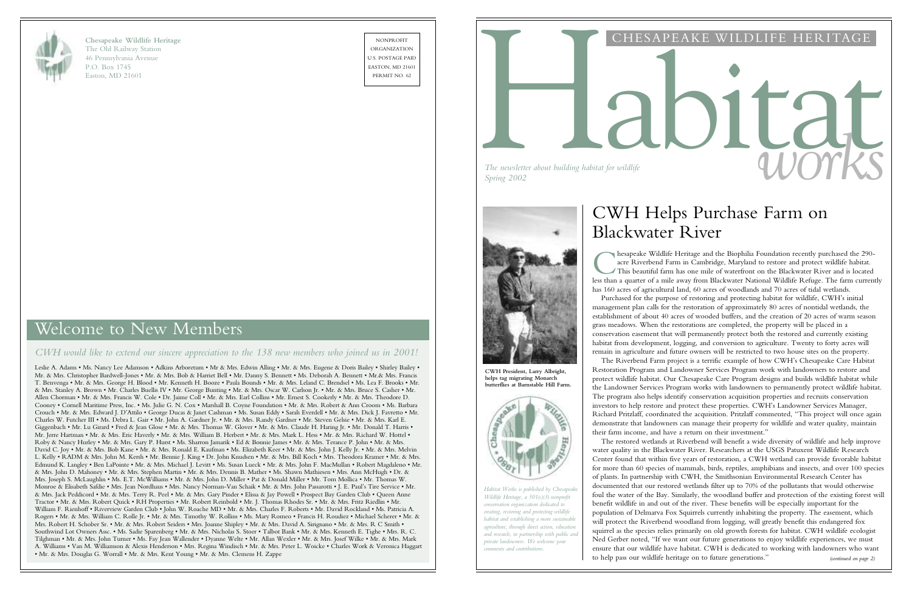# Welcome to New Members

#### *CWH would like to extend our sincere appreciation to the 138 new members who joined us in 2001!*

Leslie A. Adams • Ms. Nancy Lee Adamson • Adkins Arboretum • Mr & Mrs. Edwin Alling • Mr. & Mrs. Eugene & Doris Bailey • Shirley Bailey • Mr. & Mrs. Christopher Bardwell-Jones • Mr. & Mrs. Bob & Harriet Bell • Mr. Danny S. Bennett • Ms. Deborah A. Bennett • Mr.& Mrs. Francis T. Benvenga • Mr. & Mrs. George H. Blood • Mr. Kenneth H. Booze • Paula Bounds • Mr. & Mrs. Leland C. Brendsel • Ms. Lea F. Brooks • Mr. & Mrs. Stanley A. Brown • Mr. Charles Buellis IV • Mr. George Bunting • Mr. & Mrs. Oscar W. Carlson Jr. • Mr. & Mrs. Bruce S. Casher • Mr. Allen Chorman • Mr. & Mrs. Francis W. Cole • Dr. Jaime Coll • Mr. & Mrs. Earl Collins • Mr. Ernest S. Cookerly • Mr. & Mrs. Theodore D. Cooney • Cornell Maritime Press, Inc. • Ms. Julie G. N. Cox • Marshall B. Coyne Foundation • Mr. & Mrs. Robert & Ann Croom • Ms. Barbara Crouch • Mr. & Mrs. Edward J. D'Attilo • George Ducas & Janet Cashman • Ms. Susan Eddy • Sarah Everdell • Mr. & Mrs. Dick J. Favretto • Mr. Charles W. Futcher III • Ms. Debra L. Gair • Mr. John A. Gardner Jr. • Mr. & Mrs. Randy Gardner • Mr. Steven Gelsie • Mr. & Mrs. Karl E. Giggenbach • Mr. Lu Girard • Fred & Jean Glose • Mr. & Mrs. Thomas W. Glover • Mr. & Mrs. Claude H. Haring Jr. • Mr. Donald T. Harris • Mr. Jerre Hartman • Mr. & Mrs. Eric Haverly • Mr. & Mrs. William B. Herbert • Mr. & Mrs. Mark L. Hess • Mr. & Mrs. Richard W. Hottel • Roby & Nancy Hurley • Mr. & Mrs. Gary P. Hurst • Ms. Sharron Jamarik • Ed & Bonnie James • Mr. & Mrs. Terance P. John • Mr. & Mrs. David C. Joy • Mr. & Mrs. Bob Kane • Mr. & Mrs. Ronald E. Kaufman • Ms. Elizabeth Keer • Mr. & Mrs. John J. Kelly Jr. • Mr. & Mrs. Melvin L. Kelly • RADM & Mrs. John M. Kersh • Mr. Bennie J. King • Dr. John Knudsen • Mr. & Mrs. Bill Koch • Mrs. Theodora Kramer • Mr. & Mrs. Edmund K. Langley • Ben LaPointe • Mr. & Mrs. Michael J. Levitt • Ms. Susan Lueck • Mr. & Mrs. John F. MacMullan • Robert Magdaleno • Mr. & Mrs. John D. Mahoney • Mr. & Mrs. Stephen Martin • Mr. & Mrs. Dennis B. Mather • Ms. Shawn Mathiesen • Mrs. Ann McHugh • Dr. & Mrs. Joseph S. McLaughlin • Ms. E.T. McWilliams • Mr. & Mrs. John D. Miller • Pat & Donald Miller • Mr. Tom Mollica • Mr. Thomas W. Monroe & Elisabeth Safdie • Mrs. Jean Nordhaus • Mrs. Nancy Norman-Van Schaik • Mr. & Mrs. John Passarotti • J. E. Paul's Tire Service • Mr. & Mrs. Jack Peddicord • Mr. & Mrs. Terry R. Peel • Mr. & Mrs. Gary Pinder • Elissa & Jay Powell • Prospect Bay Garden Club • Queen Anne Tractor • Mr. & Mrs. Robert Quick • RH Properties • Mr. Robert Reinbold • Mr. J. Thomas Rhodes Sr. • Mr. & Mrs. Fritz Riedlin • Mr. William F. Rienhoff • Riverview Garden Club • John W. Roache MD • Mr. & Mrs. Charles F. Roberts • Mr. David Rockland • Ms. Patricia A. Rogers • Mr. & Mrs. William C. Rolle Jr. • Mr. & Mrs. Timothy W. Rollins • Ms. Mary Romeo • Francis H. Roudiez • Michael Scherer • Mr. & Mrs. Robert H. Schober Sr. • Mr. & Mrs. Robert Seiders • Mrs. Joanne Shipley • Mr. & Mrs. David A. Sirignano • Mr. & Mrs. R C Smith • Southwind Lot Owners Assc. • Ms. Sadie Sparenberg • Mr. & Mrs. Nicholas S. Stoer • Talbot Bank • Mr. & Mrs. Kenneth E. Tighe • Mrs. R. C. Tilghman • Mr. & Mrs. John Turner • Ms. Fay Jean Wallender • Dyanne Welte • Mr. Allan Wexler • Mr. & Mrs. Josef Wilke • Mr. & Mrs. Mark A. Williams • Van M. Williamson & Alexis Henderson • Mrs. Regina Windisch • Mr. & Mrs. Peter L. Woicke • Charles Work & Veronica Haggart • Mr. & Mrs. Douglas G. Worrall • Mr. & Mrs. Kent Young • Mr. & Mrs. Clemens H. Zappe

hesapeake Wildlife Heritage and the Biophilia Foundation recently purchased the 290-<br>acre Riverbend Farm in Cambridge, Maryland to restore and protect wildlife habitat.<br>This beautiful farm has one mile of waterfront on the has 160 acres of agricultural land, 60 acres of woodlands and 70 acres of tidal wetlands. management plan calls for the restoration of approximately 80 acres of nontidal wetlands, the establishment of about 40 acres of wooded buffers, and the creation of 20 acres of warm season grass meadows. When the restorations are completed, the property will be placed in a conservation easement that will permanently protect both the restored and currently existing habitat from development, logging, and conversion to agriculture. Twenty to forty acres will remain in agriculture and future owners will be restricted to two house sites on the property. Restoration Program and Landowner Services Program work with landowners to restore and protect wildlife habitat. Our Chesapeake Care Program designs and builds wildlife habitat while the Landowner Services Program works with landowners to permanently protect wildlife habitat. The program also helps identify conservation acquisition properties and recruits conservation investors to help restore and protect these properties. CWH's Landowner Services Manager, Richard Pritzlaff, coordinated the acquisition. Pritzlaff commented, "This project will once again demonstrate that landowners can manage their property for wildlife and water quality, maintain their farm income, and have a return on their investment."



**Chesapeake Wildlife Heritage** The Old Railway Station 46 Pennsylvania Avenue P.O. Box 1745 Easton, MD 21601

NONPROFIT ORGANIZATION U.S. POSTAGE PAID EASTON, MD 21601

> Habitat Works is published by Chesapeak *Wildlife Heritage, a 501(c)(3) nonprofit conservation organization dedicated to creating, restoring and protecting wildlife habitat and establishing a more sustainable agriculture, through direct action, education and research, in partnership with public and private landowners. We welcome your comments and contributions.*



## CHESAPEAKE WILDLIFE HERITAGE

# *The newsletter about building habitat for wildlife*<br>Spring 2002

*The newsletter about building habitat for wildlife*

# CWH Helps Purchase Farm on Blackwater River

hesapeake Wildlife Heritage and the Biophilia Foundation recently purchased the 290 acre Riverbend Farm in Cambridge, Maryland to restore and protect wildlife habitat. This beautiful farm has one mile of waterfront on the Blackwater River and is located Purchased for the purpose of restoring and protecting habitat for wildlife, CWH's initial The Riverbend Farm project is a terrific example of how CWH's Chesapeake Care Habitat

The restored wetlands at Riverbend will benefit a wide diversity of wildlife and help improve water quality in the Blackwater River. Researchers at the USGS Patuxent Wildlife Research Center found that within five years of restoration, a CWH wetland can provide favorable habitat for more than 60 species of mammals, birds, reptiles, amphibians and insects, and over 100 species of plants. In partnership with CWH, the Smithsonian Environmental Research Center has documented that our restored wetlands filter up to 70% of the pollutants that would otherwise foul the water of the Bay. Similarly, the woodland buffer and protection of the existing forest will benefit wildlife in and out of the river. These benefits will be especially important for the population of Delmarva Fox Squirrels currently inhabiting the property. The easement, which will protect the Riverbend woodland from logging, will greatly benefit this endangered fox squirrel as the species relies primarily on old growth forests for habitat. CWH wildlife ecologist Ned Gerber noted, "If we want our future generations to enjoy wildlife experiences, we must ensure that our wildlife have habitat. CWH is dedicated to working with landowners who want to help pass our wildlife heritage on to future generations." *(continued on page 2)*



**CWH President, Larry Albright, helps tag migrating Monarch butterflies at Barnstable Hill Farm.**

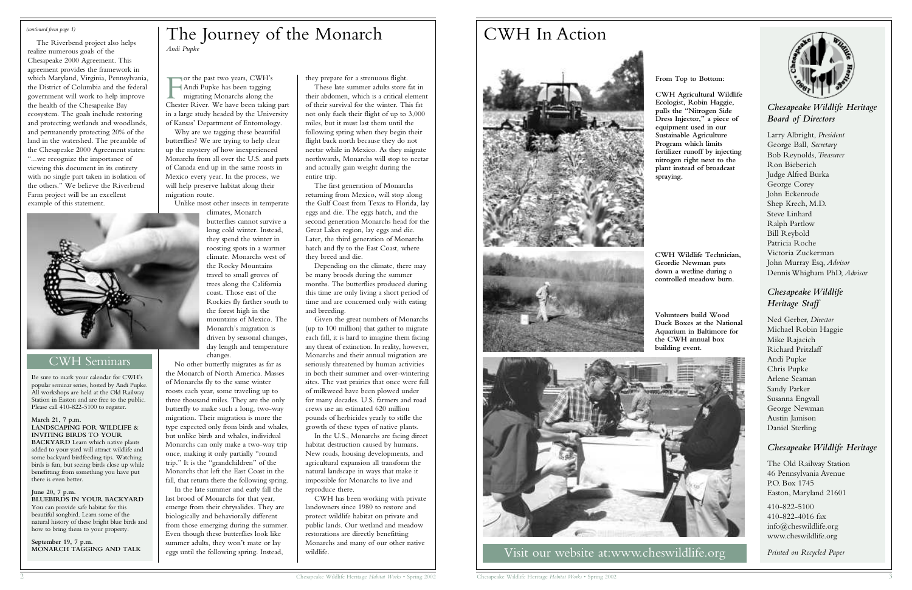The Riverbend project also helps realize numerous goals of the Chesapeake 2000 Agreement. This agreement provides the framework in which Maryland, Virginia, Pennsylvania, the District of Columbia and the federal government will work to help improve the health of the Chesapeake Bay ecosystem. The goals include restoring and protecting wetlands and woodlands, and permanently protecting 20% of the land in the watershed. The preamble of the Chesapeake 2000 Agreement states: "...we recognize the importance of viewing this document in its entirety with no single part taken in isolation of the others." We believe the Riverbend Farm project will be an excellent example of this statement.



Be sure to mark your calendar for CWH's popular seminar series, hosted by Andi Pupke. All workshops are held at the Old Railway Station in Easton and are free to the public. Please call 410-822-5100 to register.

**March 21, 7 p.m. LANDSCAPING FOR WILDLIFE & INVITING BIRDS TO YOUR BACKYARD** Learn which native plants added to your yard will attract wildlife and some backyard birdfeeding tips. Watching birds is fun, but seeing birds close up while benefitting from something you have put there is even better.

#### **June 20, 7 p.m.**

For the past two years, CWH's<br>Andi Pupke has been tagging<br>migrating Monarchs along the<br>Chester River. We have been taking part or the past two years, CWH's Andi Pupke has been tagging migrating Monarchs along the

**BLUEBIRDS IN YOUR BACKYARD** You can provide safe habitat for this beautiful songbird. Learn some of the natural history of these bright blue birds and how to bring them to your property.

**September 19, 7 p.m.** 

## *Chesapeake Wildlife Heritage Board of Directors*

Larry Albright, *President* George Ball, *Secretary* Bob Reynolds,*Treasurer* Ron Bieberich Judge Alfred Burka George Corey John Eckenrode Shep Krech, M.D. Steve Linhard Ralph Partlow Bill Reybold Patricia Roche Victoria Zuckerman John Murray Esq, *Advisor* Dennis Whigham PhD, *Advisor*

#### *Chesapeake Wildlife Heritage Staff*

Ned Gerber, *Director* Michael Robin Haggie Mike Rajacich Richard Pritzlaff Andi Pupke Chris Pupke Arlene Seaman Sandy Parker Susanna Engvall George Newman Austin Jamison Daniel Sterling

#### *Chesapeake Wildlife Heritage*

The Old Railway Station 46 Pennsylvania Avenue P.O. Box 1745 Easton, Maryland 21601

410-822-5100 410-822-4016 fax info@cheswildlife.org www.cheswildlife.org

*Printed on Recycled Paper*

in a large study headed by the University of Kansas' Department of Entomology. Why are we tagging these beautiful butterflies? We are trying to help clear

up the mystery of how inexperienced Monarchs from all over the U.S. and parts of Canada end up in the same roosts in Mexico every year. In the process, we will help preserve habitat along their migration route.

Unlike most other insects in temperate

climates, Monarch butterflies cannot survive a long cold winter. Instead, they spend the winter in roosting spots in a warmer climate. Monarchs west of the Rocky Mountains travel to small groves of trees along the California coast. Those east of the Rockies fly farther south to the forest high in the mountains of Mexico. The Monarch's migration is driven by seasonal changes, day length and temperature changes.

No other butterfly migrates as far as the Monarch of North America. Masses of Monarchs fly to the same winter roosts each year, some traveling up to three thousand miles. They are the only butterfly to make such a long, two-way migration. Their migration is more the type expected only from birds and whales, but unlike birds and whales, individual Monarchs can only make a two-way trip once, making it only partially "round trip." It is the "grandchildren" of the Monarchs that left the East Coast in the fall, that return there the following spring.

In the late summer and early fall the last brood of Monarchs for that year, emerge from their chrysalides. They are biologically and behaviorally different from those emerging during the summer. Even though these butterflies look like summer adults, they won't mate or lay eggs until the following spring. Instead,

they prepare for a strenuous flight.

These late summer adults store fat in their abdomen, which is a critical element of their survival for the winter. This fat not only fuels their flight of up to 3,000 miles, but it must last them until the following spring when they begin their flight back north because they do not nectar while in Mexico. As they migrate northwards, Monarchs will stop to nectar and actually gain weight during the entire trip.

The first generation of Monarchs returning from Mexico, will stop along the Gulf Coast from Texas to Florida, lay eggs and die. The eggs hatch, and the second generation Monarchs head for the Great Lakes region, lay eggs and die. Later, the third generation of Monarchs hatch and fly to the East Coast, where they breed and die.

Depending on the climate, there may be many broods during the summer months. The butterflies produced during this time are only living a short period of time and are concerned only with eating and breeding.

Given the great numbers of Monarchs (up to 100 million) that gather to migrate each fall, it is hard to imagine them facing any threat of extinction. In reality, however, Monarchs and their annual migration are seriously threatened by human activities in both their summer and over-wintering sites. The vast prairies that once were full of milkweed have been plowed under for many decades. U.S. farmers and road crews use an estimated 620 million pounds of herbicides yearly to stifle the growth of these types of native plants.

In the U.S., Monarchs are facing direct habitat destruction caused by humans. New roads, housing developments, and agricultural expansion all transform the natural landscape in ways that make it impossible for Monarchs to live and reproduce there.

CWH has been working with private landowners since 1980 to restore and protect wildlife habitat on private and public lands. Our wetland and meadow restorations are directly benefitting Monarchs and many of our other native wildlife.

# The Journey of the Monarch *Andi Pupke*

#### **From Top to Bottom:**

**CWH Agricultural Wildlife Ecologist, Robin Haggie, pulls the "Nitrogen Side Dress Injector," a piece of equipment used in our Sustainable Agriculture Program which limits fertilizer runoff by injecting nitrogen right next to the plant instead of broadcast spraying.**

# CWH In Action



## CWH Seminars

#### *(continued from page 1)*

**CWH Wildlife Technician, Geordie Newman puts down a wetline during a controlled meadow burn.**



Visit our website at:www.cheswildlife.org

**Volunteers build Wood Duck Boxes at the National Aquarium in Baltimore for the CWH annual box building event.**

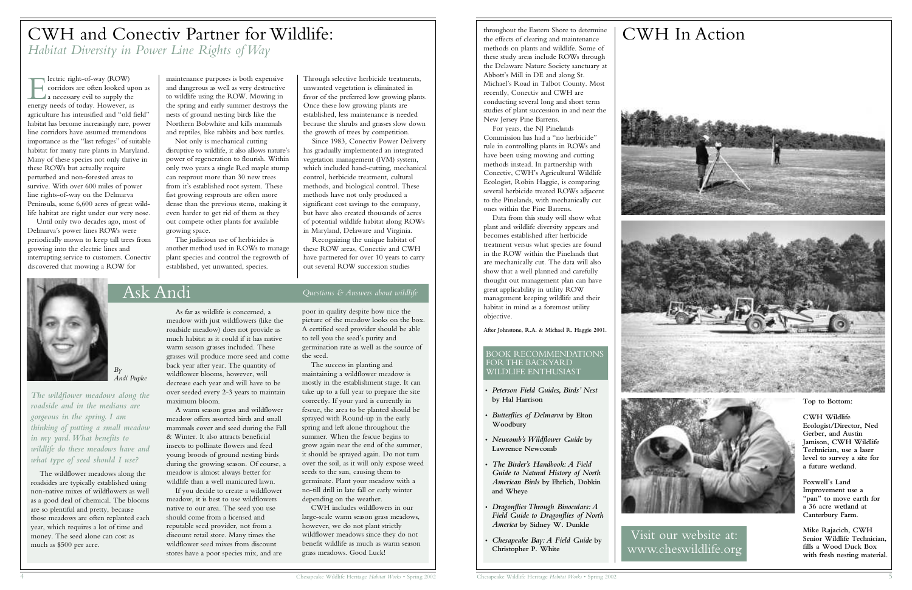E<br>energy lectric right-of-way (ROW) corridors are often looked upon as a necessary evil to supply the energy needs of today. However, as agriculture has intensified and "old field" habitat has become increasingly rare, power line corridors have assumed tremendous importance as the "last refuges" of suitable habitat for many rare plants in Maryland. Many of these species not only thrive in these ROWs but actually require perturbed and non-forested areas to survive. With over 600 miles of power line rights-of-way on the Delmarva Peninsula, some 6,600 acres of great wildlife habitat are right under our very nose.

Until only two decades ago, most of Delmarva's power lines ROWs were periodically mown to keep tall trees from growing into the electric lines and interrupting service to customers. Conectiv discovered that mowing a ROW for

Through selective herbicide treatments, unwanted vegetation is eliminated in favor of the preferred low growing plants. Once these low growing plants are established, less maintenance is needed because the shrubs and grasses slow down the growth of trees by competition.

Since 1983, Conectiv Power Delivery has gradually implemented an integrated vegetation management (IVM) system, which included hand-cutting, mechanical control, herbicide treatment, cultural methods, and biological control. These methods have not only produced a significant cost savings to the company, but have also created thousands of acres of potential wildlife habitat along ROWs in Maryland, Delaware and Virginia.

Recognizing the unique habitat of these ROW areas, Conectiv and CWH have partnered for over 10 years to carry out several ROW succession studies

maintenance purposes is both expensive and dangerous as well as very destructive to wildlife using the ROW. Mowing in the spring and early summer destroys the nests of ground nesting birds like the Northern Bobwhite and kills mammals and reptiles, like rabbits and box turtles.

Not only is mechanical cutting disruptive to wildlife, it also allows nature's power of regeneration to flourish. Within only two years a single Red maple stump can resprout more than 30 new trees from it's established root system. These fast growing resprouts are often more dense than the previous stems, making it even harder to get rid of them as they out compete other plants for available growing space.

The judicious use of herbicides is another method used in ROWs to manage plant species and control the regrowth of established, yet unwanted, species.

# CWH and Conectiv Partner for Wildlife: *Habitat Diversity in Power Line Rights of Way*

# Ask Andi *Questions & Answers about wildlife*

*By Andi Pupke*

*The wildflower meadows along the roadside and in the medians are gorgeous in the spring. I am thinking of putting a small meadow in my yard.What benefits to wildlife do these meadows have and what type of seed should I use?*

The wildflower meadows along the roadsides are typically established using non-native mixes of wildflowers as well as a good deal of chemical. The blooms are so plentiful and pretty, because those meadows are often replanted each year, which requires a lot of time and money. The seed alone can cost as much as \$500 per acre.

As far as wildlife is concerned, a meadow with just wildflowers (like the roadside meadow) does not provide as much habitat as it could if it has native warm season grasses included. These grasses will produce more seed and come back year after year. The quantity of wildflower blooms, however, will decrease each year and will have to be over seeded every 2-3 years to maintain maximum bloom.

A warm season grass and wildflower meadow offers assorted birds and small mammals cover and seed during the Fall & Winter. It also attracts beneficial insects to pollinate flowers and feed young broods of ground nesting birds during the growing season. Of course, a meadow is almost always better for wildlife than a well manicured lawn.

If you decide to create a wildflower meadow, it is best to use wildflowers native to our area. The seed you use should come from a licensed and reputable seed provider, not from a discount retail store. Many times the wildflower seed mixes from discount stores have a poor species mix, and are poor in quality despite how nice the picture of the meadow looks on the box. A certified seed provider should be able to tell you the seed's purity and germination rate as well as the source of the seed.

The success in planting and maintaining a wildflower meadow is mostly in the establishment stage. It can take up to a full year to prepare the site correctly. If your yard is currently in fescue, the area to be planted should be sprayed with Round-up in the early spring and left alone throughout the summer. When the fescue begins to grow again near the end of the summer, it should be sprayed again. Do not turn over the soil, as it will only expose weed seeds to the sun, causing them to germinate. Plant your meadow with a no-till drill in late fall or early winter depending on the weather.

CWH includes wildflowers in our large-scale warm season grass meadows, however, we do not plant strictly wildflower meadows since they do not benefit wildlife as much as warm season grass meadows. Good Luck!

# CWH In Action





Visit our website at: www.cheswildlife.org

#### **Top to Bottom:**

**CWH Wildlife Ecologist/Director, Ned Gerber, and Austin Jamison, CWH Wildlife Technician, use a laser level to survey a site for a future wetland.**

**Foxwell's Land Improvement use a "pan" to move earth for a 36 acre wetland at Canterbury Farm.**

**Mike Rajacich, CWH Senior Wildlife Technician, fills a Wood Duck Box with fresh nesting material.**

#### BOOK RECOMMENDATIONS FOR THE BACKYARD WILDLIFE ENTHUSIAST

throughout the Eastern Shore to determine the effects of clearing and maintenance methods on plants and wildlife. Some of these study areas include ROWs through the Delaware Nature Society sanctuary at Abbott's Mill in DE and along St. Michael's Road in Talbot County. Most recently, Conectiv and CWH are conducting several long and short term studies of plant succession in and near the New Jersey Pine Barrens.

For years, the NJ Pinelands Commission has had a "no herbicide" rule in controlling plants in ROWs and have been using mowing and cutting methods instead. In partnership with Conectiv, CWH's Agricultural Wildlife Ecologist, Robin Haggie, is comparing several herbicide treated ROWs adjacent to the Pinelands, with mechanically cut ones within the Pine Barrens.

Data from this study will show what plant and wildlife diversity appears and becomes established after herbicide treatment versus what species are found in the ROW within the Pinelands that are mechanically cut. The data will also show that a well planned and carefully thought out management plan can have great applicability in utility ROW management keeping wildlife and their habitat in mind as a foremost utility objective.

**After Johnstone, R.A. & Michael R. Haggie 2001.**

- **•** *Peterson Field Guides, Birds' Nest* **by Hal Harrison**
- **•** *Butterflies of Delmarva* **by Elton Woodbury**
- **•** *Newcomb's Wildflower Guide* **by Lawrence Newcomb**
- **•** *The Birder's Handbook:A Field Guide to Natural History of North American Birds* **by Ehrlich, Dobkin and Wheye**
- **•** *Dragonflies Through Binoculars:A Field Guide to Dragonflies of North America* **by Sidney W. Dunkle**
- **•** *Chesapeake Bay:A Field Guide* **by Christopher P. White**